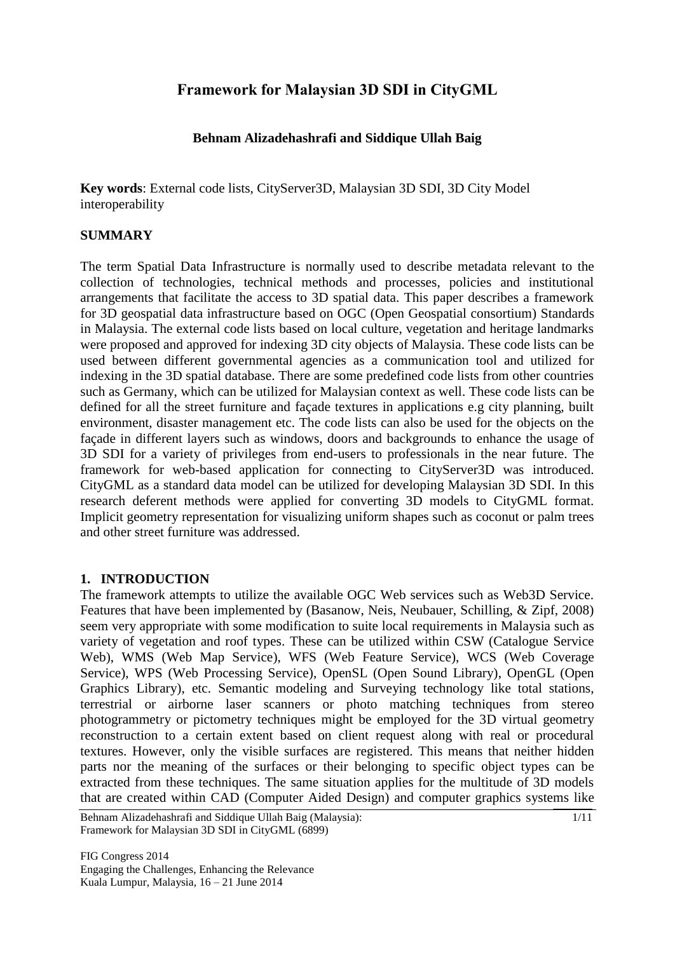# **Framework for Malaysian 3D SDI in CityGML**

### **Behnam Alizadehashrafi and Siddique Ullah Baig**

**Key words**: External code lists, CityServer3D, Malaysian 3D SDI, 3D City Model interoperability

#### **SUMMARY**

The term Spatial Data Infrastructure is normally used to describe metadata relevant to the collection of technologies, technical methods and processes, policies and institutional arrangements that facilitate the access to 3D spatial data. This paper describes a framework for 3D geospatial data infrastructure based on OGC (Open Geospatial consortium) Standards in Malaysia. The external code lists based on local culture, vegetation and heritage landmarks were proposed and approved for indexing 3D city objects of Malaysia. These code lists can be used between different governmental agencies as a communication tool and utilized for indexing in the 3D spatial database. There are some predefined code lists from other countries such as Germany, which can be utilized for Malaysian context as well. These code lists can be defined for all the street furniture and façade textures in applications e.g city planning, built environment, disaster management etc. The code lists can also be used for the objects on the façade in different layers such as windows, doors and backgrounds to enhance the usage of 3D SDI for a variety of privileges from end-users to professionals in the near future. The framework for web-based application for connecting to CityServer3D was introduced. CityGML as a standard data model can be utilized for developing Malaysian 3D SDI. In this research deferent methods were applied for converting 3D models to CityGML format. Implicit geometry representation for visualizing uniform shapes such as coconut or palm trees and other street furniture was addressed.

### **1. INTRODUCTION**

The framework attempts to utilize the available OGC Web services such as Web3D Service. Features that have been implemented by (Basanow, Neis, Neubauer, Schilling, & Zipf, 2008) seem very appropriate with some modification to suite local requirements in Malaysia such as variety of vegetation and roof types. These can be utilized within CSW (Catalogue Service Web), WMS (Web Map Service), WFS (Web Feature Service), WCS (Web Coverage Service), WPS (Web Processing Service), OpenSL (Open Sound Library), OpenGL (Open Graphics Library), etc. Semantic modeling and Surveying technology like total stations, terrestrial or airborne laser scanners or photo matching techniques from stereo photogrammetry or pictometry techniques might be employed for the 3D virtual geometry reconstruction to a certain extent based on client request along with real or procedural textures. However, only the visible surfaces are registered. This means that neither hidden parts nor the meaning of the surfaces or their belonging to specific object types can be extracted from these techniques. The same situation applies for the multitude of 3D models that are created within CAD (Computer Aided Design) and computer graphics systems like

Behnam Alizadehashrafi and Siddique Ullah Baig (Malaysia): Framework for Malaysian 3D SDI in CityGML (6899)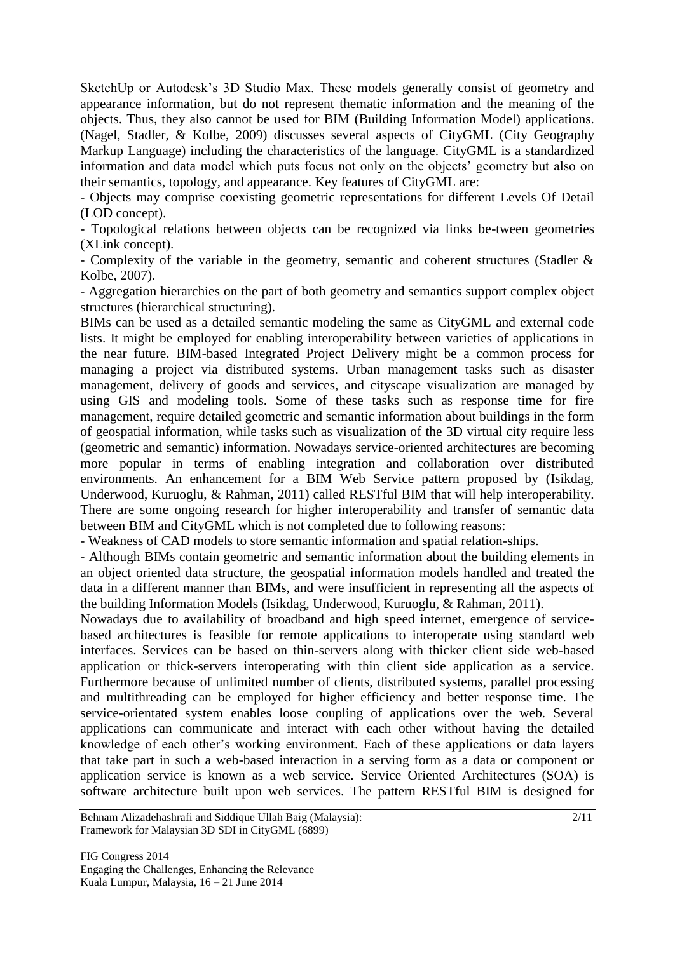SketchUp or Autodesk"s 3D Studio Max. These models generally consist of geometry and appearance information, but do not represent thematic information and the meaning of the objects. Thus, they also cannot be used for BIM (Building Information Model) applications. (Nagel, Stadler, & Kolbe, 2009) discusses several aspects of CityGML (City Geography Markup Language) including the characteristics of the language. CityGML is a standardized information and data model which puts focus not only on the objects" geometry but also on their semantics, topology, and appearance. Key features of CityGML are:

- Objects may comprise coexisting geometric representations for different Levels Of Detail (LOD concept).

- Topological relations between objects can be recognized via links be-tween geometries (XLink concept).

- Complexity of the variable in the geometry, semantic and coherent structures (Stadler & Kolbe, 2007).

- Aggregation hierarchies on the part of both geometry and semantics support complex object structures (hierarchical structuring).

BIMs can be used as a detailed semantic modeling the same as CityGML and external code lists. It might be employed for enabling interoperability between varieties of applications in the near future. BIM-based Integrated Project Delivery might be a common process for managing a project via distributed systems. Urban management tasks such as disaster management, delivery of goods and services, and cityscape visualization are managed by using GIS and modeling tools. Some of these tasks such as response time for fire management, require detailed geometric and semantic information about buildings in the form of geospatial information, while tasks such as visualization of the 3D virtual city require less (geometric and semantic) information. Nowadays service-oriented architectures are becoming more popular in terms of enabling integration and collaboration over distributed environments. An enhancement for a BIM Web Service pattern proposed by (Isikdag, Underwood, Kuruoglu, & Rahman, 2011) called RESTful BIM that will help interoperability. There are some ongoing research for higher interoperability and transfer of semantic data between BIM and CityGML which is not completed due to following reasons:

- Weakness of CAD models to store semantic information and spatial relation-ships.

- Although BIMs contain geometric and semantic information about the building elements in an object oriented data structure, the geospatial information models handled and treated the data in a different manner than BIMs, and were insufficient in representing all the aspects of the building Information Models (Isikdag, Underwood, Kuruoglu, & Rahman, 2011).

Nowadays due to availability of broadband and high speed internet, emergence of servicebased architectures is feasible for remote applications to interoperate using standard web interfaces. Services can be based on thin-servers along with thicker client side web-based application or thick-servers interoperating with thin client side application as a service. Furthermore because of unlimited number of clients, distributed systems, parallel processing and multithreading can be employed for higher efficiency and better response time. The service-orientated system enables loose coupling of applications over the web. Several applications can communicate and interact with each other without having the detailed knowledge of each other"s working environment. Each of these applications or data layers that take part in such a web-based interaction in a serving form as a data or component or application service is known as a web service. Service Oriented Architectures (SOA) is software architecture built upon web services. The pattern RESTful BIM is designed for

Behnam Alizadehashrafi and Siddique Ullah Baig (Malaysia): Framework for Malaysian 3D SDI in CityGML (6899)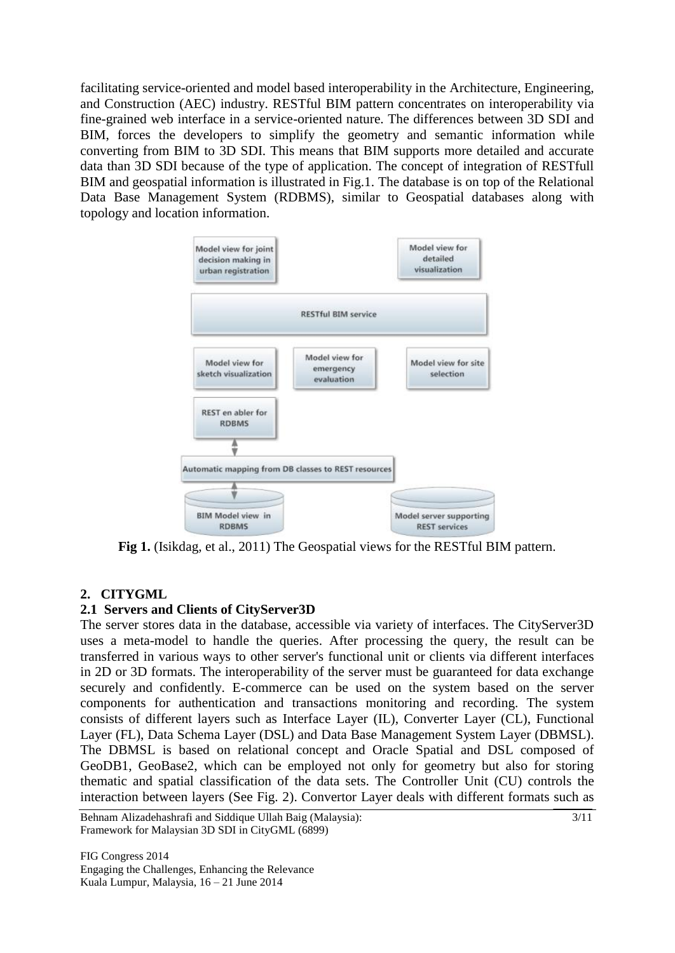facilitating service-oriented and model based interoperability in the Architecture, Engineering, and Construction (AEC) industry. RESTful BIM pattern concentrates on interoperability via fine-grained web interface in a service-oriented nature. The differences between 3D SDI and BIM, forces the developers to simplify the geometry and semantic information while converting from BIM to 3D SDI. This means that BIM supports more detailed and accurate data than 3D SDI because of the type of application. The concept of integration of RESTfull BIM and geospatial information is illustrated in Fig.1. The database is on top of the Relational Data Base Management System (RDBMS), similar to Geospatial databases along with topology and location information.



Fig 1. (Isikdag, et al., 2011) The Geospatial views for the RESTful BIM pattern.

### **2. CITYGML**

### **2.1 Servers and Clients of CityServer3D**

The server stores data in the database, accessible via variety of interfaces. The CityServer3D uses a meta-model to handle the queries. After processing the query, the result can be transferred in various ways to other server's functional unit or clients via different interfaces in 2D or 3D formats. The interoperability of the server must be guaranteed for data exchange securely and confidently. E-commerce can be used on the system based on the server components for authentication and transactions monitoring and recording. The system consists of different layers such as Interface Layer (IL), Converter Layer (CL), Functional Layer (FL), Data Schema Layer (DSL) and Data Base Management System Layer (DBMSL). The DBMSL is based on relational concept and Oracle Spatial and DSL composed of GeoDB1, GeoBase2, which can be employed not only for geometry but also for storing thematic and spatial classification of the data sets. The Controller Unit (CU) controls the interaction between layers (See Fig. 2). Convertor Layer deals with different formats such as

Behnam Alizadehashrafi and Siddique Ullah Baig (Malaysia): Framework for Malaysian 3D SDI in CityGML (6899)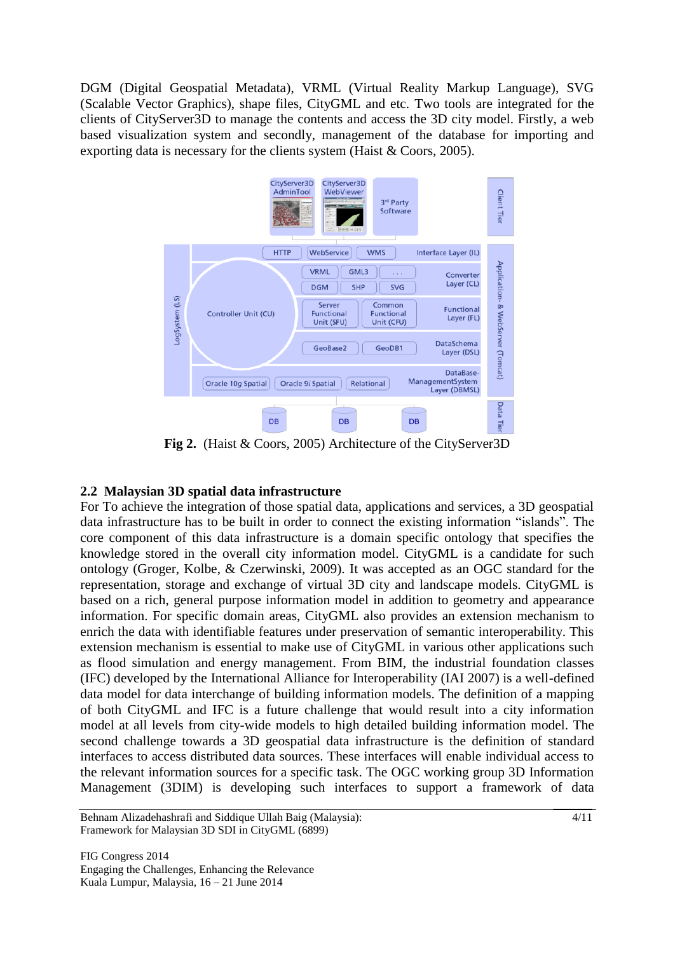DGM (Digital Geospatial Metadata), VRML (Virtual Reality Markup Language), SVG (Scalable Vector Graphics), shape files, CityGML and etc. Two tools are integrated for the clients of CityServer3D to manage the contents and access the 3D city model. Firstly, a web based visualization system and secondly, management of the database for importing and exporting data is necessary for the clients system (Haist & Coors, 2005).



**Fig 2.** (Haist & Coors, 2005) Architecture of the CityServer3D

## **2.2 Malaysian 3D spatial data infrastructure**

For To achieve the integration of those spatial data, applications and services, a 3D geospatial data infrastructure has to be built in order to connect the existing information "islands". The core component of this data infrastructure is a domain specific ontology that specifies the knowledge stored in the overall city information model. CityGML is a candidate for such ontology (Groger, Kolbe, & Czerwinski, 2009). It was accepted as an OGC standard for the representation, storage and exchange of virtual 3D city and landscape models. CityGML is based on a rich, general purpose information model in addition to geometry and appearance information. For specific domain areas, CityGML also provides an extension mechanism to enrich the data with identifiable features under preservation of semantic interoperability. This extension mechanism is essential to make use of CityGML in various other applications such as flood simulation and energy management. From BIM, the industrial foundation classes (IFC) developed by the International Alliance for Interoperability (IAI 2007) is a well-defined data model for data interchange of building information models. The definition of a mapping of both CityGML and IFC is a future challenge that would result into a city information model at all levels from city-wide models to high detailed building information model. The second challenge towards a 3D geospatial data infrastructure is the definition of standard interfaces to access distributed data sources. These interfaces will enable individual access to the relevant information sources for a specific task. The OGC working group 3D Information Management (3DIM) is developing such interfaces to support a framework of data

Behnam Alizadehashrafi and Siddique Ullah Baig (Malaysia): Framework for Malaysian 3D SDI in CityGML (6899)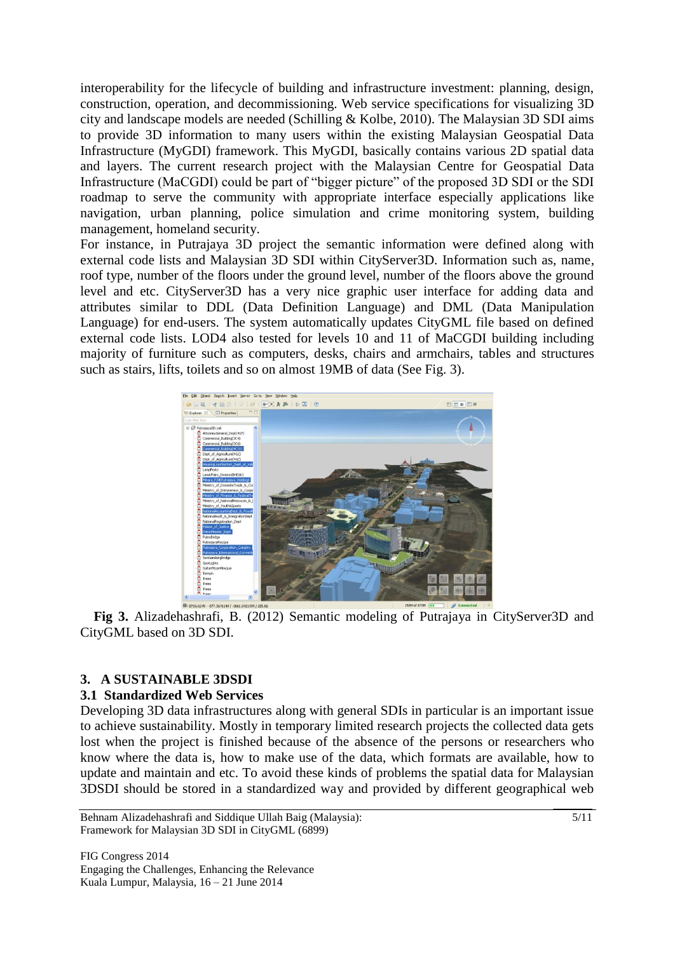interoperability for the lifecycle of building and infrastructure investment: planning, design, construction, operation, and decommissioning. Web service specifications for visualizing 3D city and landscape models are needed (Schilling & Kolbe, 2010). The Malaysian 3D SDI aims to provide 3D information to many users within the existing Malaysian Geospatial Data Infrastructure (MyGDI) framework. This MyGDI, basically contains various 2D spatial data and layers. The current research project with the Malaysian Centre for Geospatial Data Infrastructure (MaCGDI) could be part of "bigger picture" of the proposed 3D SDI or the SDI roadmap to serve the community with appropriate interface especially applications like navigation, urban planning, police simulation and crime monitoring system, building management, homeland security.

For instance, in Putrajaya 3D project the semantic information were defined along with external code lists and Malaysian 3D SDI within CityServer3D. Information such as, name, roof type, number of the floors under the ground level, number of the floors above the ground level and etc. CityServer3D has a very nice graphic user interface for adding data and attributes similar to DDL (Data Definition Language) and DML (Data Manipulation Language) for end-users. The system automatically updates CityGML file based on defined external code lists. LOD4 also tested for levels 10 and 11 of MaCGDI building including majority of furniture such as computers, desks, chairs and armchairs, tables and structures such as stairs, lifts, toilets and so on almost 19MB of data (See Fig. 3).



**Fig 3.** Alizadehashrafi, B. (2012) Semantic modeling of Putrajaya in CityServer3D and CityGML based on 3D SDI.

### **3. A SUSTAINABLE 3DSDI**

#### **3.1 Standardized Web Services**

Developing 3D data infrastructures along with general SDIs in particular is an important issue to achieve sustainability. Mostly in temporary limited research projects the collected data gets lost when the project is finished because of the absence of the persons or researchers who know where the data is, how to make use of the data, which formats are available, how to update and maintain and etc. To avoid these kinds of problems the spatial data for Malaysian 3DSDI should be stored in a standardized way and provided by different geographical web

Behnam Alizadehashrafi and Siddique Ullah Baig (Malaysia): Framework for Malaysian 3D SDI in CityGML (6899)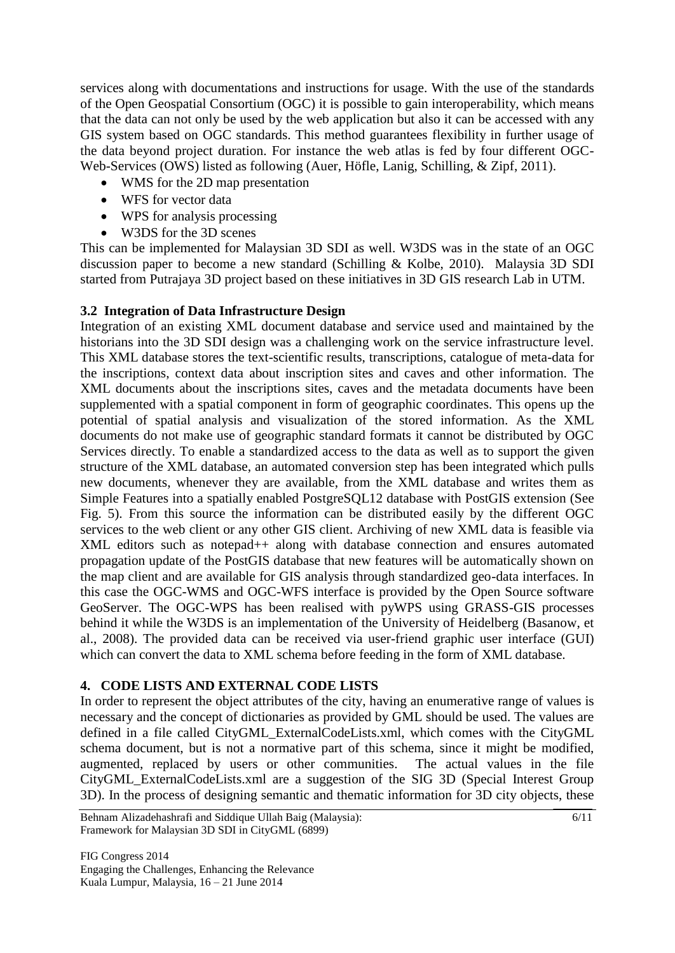services along with documentations and instructions for usage. With the use of the standards of the Open Geospatial Consortium (OGC) it is possible to gain interoperability, which means that the data can not only be used by the web application but also it can be accessed with any GIS system based on OGC standards. This method guarantees flexibility in further usage of the data beyond project duration. For instance the web atlas is fed by four different OGC-Web-Services (OWS) listed as following (Auer, Höfle, Lanig, Schilling, & Zipf, 2011).

- WMS for the 2D map presentation
- WFS for vector data
- WPS for analysis processing
- W3DS for the 3D scenes

This can be implemented for Malaysian 3D SDI as well. W3DS was in the state of an OGC discussion paper to become a new standard (Schilling & Kolbe, 2010). Malaysia 3D SDI started from Putrajaya 3D project based on these initiatives in 3D GIS research Lab in UTM.

#### **3.2 Integration of Data Infrastructure Design**

Integration of an existing XML document database and service used and maintained by the historians into the 3D SDI design was a challenging work on the service infrastructure level. This XML database stores the text-scientific results, transcriptions, catalogue of meta-data for the inscriptions, context data about inscription sites and caves and other information. The XML documents about the inscriptions sites, caves and the metadata documents have been supplemented with a spatial component in form of geographic coordinates. This opens up the potential of spatial analysis and visualization of the stored information. As the XML documents do not make use of geographic standard formats it cannot be distributed by OGC Services directly. To enable a standardized access to the data as well as to support the given structure of the XML database, an automated conversion step has been integrated which pulls new documents, whenever they are available, from the XML database and writes them as Simple Features into a spatially enabled PostgreSQL12 database with PostGIS extension (See Fig. 5). From this source the information can be distributed easily by the different OGC services to the web client or any other GIS client. Archiving of new XML data is feasible via XML editors such as notepad++ along with database connection and ensures automated propagation update of the PostGIS database that new features will be automatically shown on the map client and are available for GIS analysis through standardized geo-data interfaces. In this case the OGC-WMS and OGC-WFS interface is provided by the Open Source software GeoServer. The OGC-WPS has been realised with pyWPS using GRASS-GIS processes behind it while the W3DS is an implementation of the University of Heidelberg (Basanow, et al., 2008). The provided data can be received via user-friend graphic user interface (GUI) which can convert the data to XML schema before feeding in the form of XML database.

### **4. CODE LISTS AND EXTERNAL CODE LISTS**

In order to represent the object attributes of the city, having an enumerative range of values is necessary and the concept of dictionaries as provided by GML should be used. The values are defined in a file called CityGML\_ExternalCodeLists.xml, which comes with the CityGML schema document, but is not a normative part of this schema, since it might be modified, augmented, replaced by users or other communities. The actual values in the file CityGML\_ExternalCodeLists.xml are a suggestion of the SIG 3D (Special Interest Group 3D). In the process of designing semantic and thematic information for 3D city objects, these

Behnam Alizadehashrafi and Siddique Ullah Baig (Malaysia): Framework for Malaysian 3D SDI in CityGML (6899)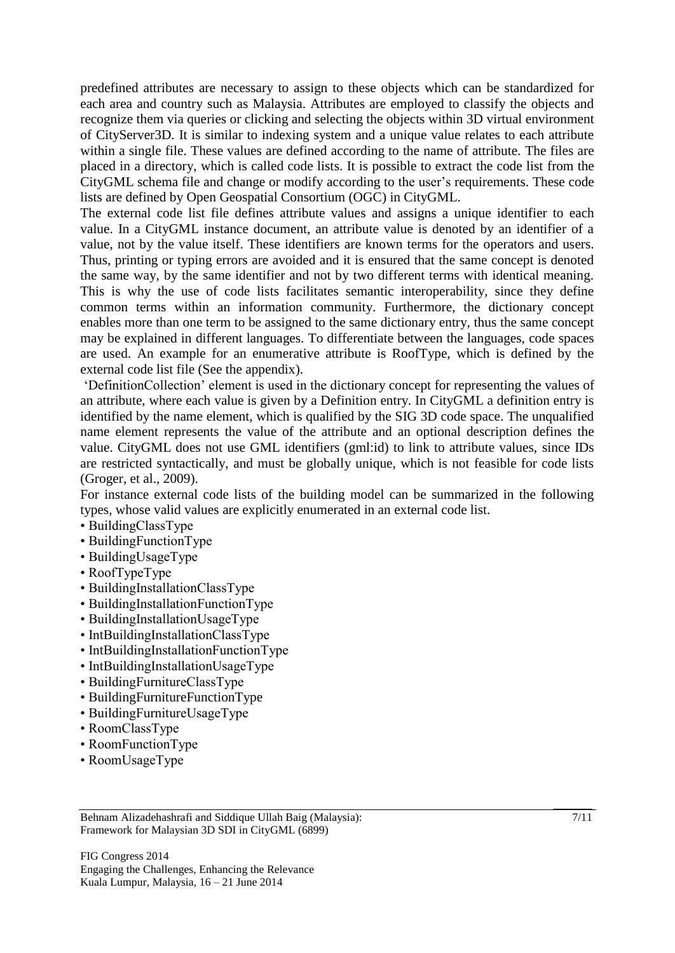predefined attributes are necessary to assign to these objects which can be standardized for each area and country such as Malaysia. Attributes are employed to classify the objects and recognize them via queries or clicking and selecting the objects within 3D virtual environment of CityServer3D. It is similar to indexing system and a unique value relates to each attribute within a single file. These values are defined according to the name of attribute. The files are placed in a directory, which is called code lists. It is possible to extract the code list from the CityGML schema file and change or modify according to the user"s requirements. These code lists are defined by Open Geospatial Consortium (OGC) in CityGML.

The external code list file defines attribute values and assigns a unique identifier to each value. In a CityGML instance document, an attribute value is denoted by an identifier of a value, not by the value itself. These identifiers are known terms for the operators and users. Thus, printing or typing errors are avoided and it is ensured that the same concept is denoted the same way, by the same identifier and not by two different terms with identical meaning. This is why the use of code lists facilitates semantic interoperability, since they define common terms within an information community. Furthermore, the dictionary concept enables more than one term to be assigned to the same dictionary entry, thus the same concept may be explained in different languages. To differentiate between the languages, code spaces are used. An example for an enumerative attribute is RoofType, which is defined by the external code list file (See the appendix).

"DefinitionCollection" element is used in the dictionary concept for representing the values of an attribute, where each value is given by a Definition entry. In CityGML a definition entry is identified by the name element, which is qualified by the SIG 3D code space. The unqualified name element represents the value of the attribute and an optional description defines the value. CityGML does not use GML identifiers (gml:id) to link to attribute values, since IDs are restricted syntactically, and must be globally unique, which is not feasible for code lists (Groger, et al., 2009).

For instance external code lists of the building model can be summarized in the following types, whose valid values are explicitly enumerated in an external code list.

- BuildingClassType
- BuildingFunctionType
- BuildingUsageType
- RoofTypeType
- BuildingInstallationClassType
- BuildingInstallationFunctionType
- BuildingInstallationUsageType
- IntBuildingInstallationClassType
- IntBuildingInstallationFunctionType
- IntBuildingInstallationUsageType
- BuildingFurnitureClassType
- BuildingFurnitureFunctionType
- BuildingFurnitureUsageType
- RoomClassType
- RoomFunctionType
- RoomUsageType

Behnam Alizadehashrafi and Siddique Ullah Baig (Malaysia): Framework for Malaysian 3D SDI in CityGML (6899)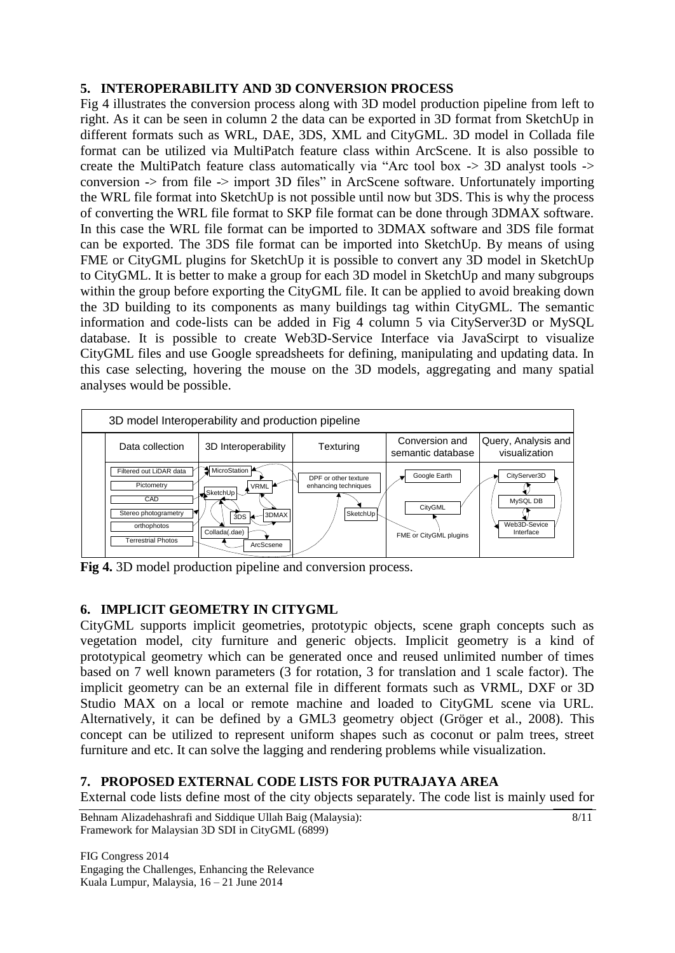### **5. INTEROPERABILITY AND 3D CONVERSION PROCESS**

Fig 4 illustrates the conversion process along with 3D model production pipeline from left to right. As it can be seen in column 2 the data can be exported in 3D format from SketchUp in different formats such as WRL, DAE, 3DS, XML and CityGML. 3D model in Collada file format can be utilized via MultiPatch feature class within ArcScene. It is also possible to create the MultiPatch feature class automatically via "Arc tool box -> 3D analyst tools -> conversion -> from file -> import 3D files" in ArcScene software. Unfortunately importing the WRL file format into SketchUp is not possible until now but 3DS. This is why the process of converting the WRL file format to SKP file format can be done through 3DMAX software. In this case the WRL file format can be imported to 3DMAX software and 3DS file format can be exported. The 3DS file format can be imported into SketchUp. By means of using FME or CityGML plugins for SketchUp it is possible to convert any 3D model in SketchUp to CityGML. It is better to make a group for each 3D model in SketchUp and many subgroups within the group before exporting the CityGML file. It can be applied to avoid breaking down the 3D building to its components as many buildings tag within CityGML. The semantic information and code-lists can be added in Fig 4 column 5 via CityServer3D or MySQL database. It is possible to create Web3D-Service Interface via JavaScirpt to visualize CityGML files and use Google spreadsheets for defining, manipulating and updating data. In this case selecting, hovering the mouse on the 3D models, aggregating and many spatial analyses would be possible.



**Fig 4.** 3D model production pipeline and conversion process.

## **6. IMPLICIT GEOMETRY IN CITYGML**

CityGML supports implicit geometries, prototypic objects, scene graph concepts such as vegetation model, city furniture and generic objects. Implicit geometry is a kind of prototypical geometry which can be generated once and reused unlimited number of times based on 7 well known parameters (3 for rotation, 3 for translation and 1 scale factor). The implicit geometry can be an external file in different formats such as VRML, DXF or 3D Studio MAX on a local or remote machine and loaded to CityGML scene via URL. Alternatively, it can be defined by a GML3 geometry object (Gröger et al., 2008). This concept can be utilized to represent uniform shapes such as coconut or palm trees, street furniture and etc. It can solve the lagging and rendering problems while visualization.

## **7. PROPOSED EXTERNAL CODE LISTS FOR PUTRAJAYA AREA**

External code lists define most of the city objects separately. The code list is mainly used for

Behnam Alizadehashrafi and Siddique Ullah Baig (Malaysia): Framework for Malaysian 3D SDI in CityGML (6899)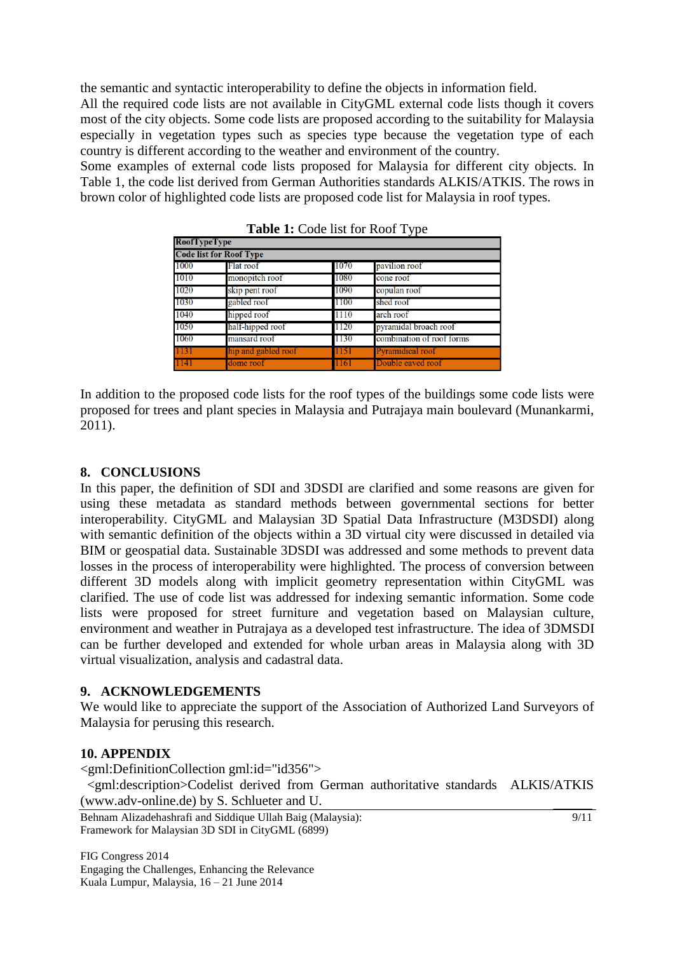the semantic and syntactic interoperability to define the objects in information field.

All the required code lists are not available in CityGML external code lists though it covers most of the city objects. Some code lists are proposed according to the suitability for Malaysia especially in vegetation types such as species type because the vegetation type of each country is different according to the weather and environment of the country.

Some examples of external code lists proposed for Malaysia for different city objects. In Table 1, the code list derived from German Authorities standards ALKIS/ATKIS. The rows in brown color of highlighted code lists are proposed code list for Malaysia in roof types.

| <b>RoofTypeType</b><br><b>Code list for Roof Type</b> |                     |      |                           |
|-------------------------------------------------------|---------------------|------|---------------------------|
|                                                       |                     |      |                           |
| 1010                                                  | monopitch roof      | 1080 | cone roof                 |
| 1020                                                  | skip pent roof      | 1090 | copulan roof              |
| 1030                                                  | gabled roof         | 1100 | shed roof                 |
| 1040                                                  | hipped roof         | 1110 | arch roof                 |
| 1050                                                  | half-hipped roof    | 1120 | pyramidal broach roof     |
| 1060                                                  | mansard roof        | 1130 | combination of roof forms |
| 1131                                                  | hip and gabled roof | 1151 | Pyramidical roof          |
| 114)                                                  | dome roof           | 1161 | Double eaved roof         |

**Table 1:** Code list for Roof Type

In addition to the proposed code lists for the roof types of the buildings some code lists were proposed for trees and plant species in Malaysia and Putrajaya main boulevard (Munankarmi, 2011).

#### **8. CONCLUSIONS**

In this paper, the definition of SDI and 3DSDI are clarified and some reasons are given for using these metadata as standard methods between governmental sections for better interoperability. CityGML and Malaysian 3D Spatial Data Infrastructure (M3DSDI) along with semantic definition of the objects within a 3D virtual city were discussed in detailed via BIM or geospatial data. Sustainable 3DSDI was addressed and some methods to prevent data losses in the process of interoperability were highlighted. The process of conversion between different 3D models along with implicit geometry representation within CityGML was clarified. The use of code list was addressed for indexing semantic information. Some code lists were proposed for street furniture and vegetation based on Malaysian culture, environment and weather in Putrajaya as a developed test infrastructure. The idea of 3DMSDI can be further developed and extended for whole urban areas in Malaysia along with 3D virtual visualization, analysis and cadastral data.

#### **9. ACKNOWLEDGEMENTS**

We would like to appreciate the support of the Association of Authorized Land Surveyors of Malaysia for perusing this research.

#### **10. APPENDIX**

<gml:DefinitionCollection gml:id="id356"> <gml:description>Codelist derived from German authoritative standards ALKIS/ATKIS (www.adv-online.de) by S. Schlueter and U.

Behnam Alizadehashrafi and Siddique Ullah Baig (Malaysia): Framework for Malaysian 3D SDI in CityGML (6899)

FIG Congress 2014 Engaging the Challenges, Enhancing the Relevance Kuala Lumpur, Malaysia, 16 – 21 June 2014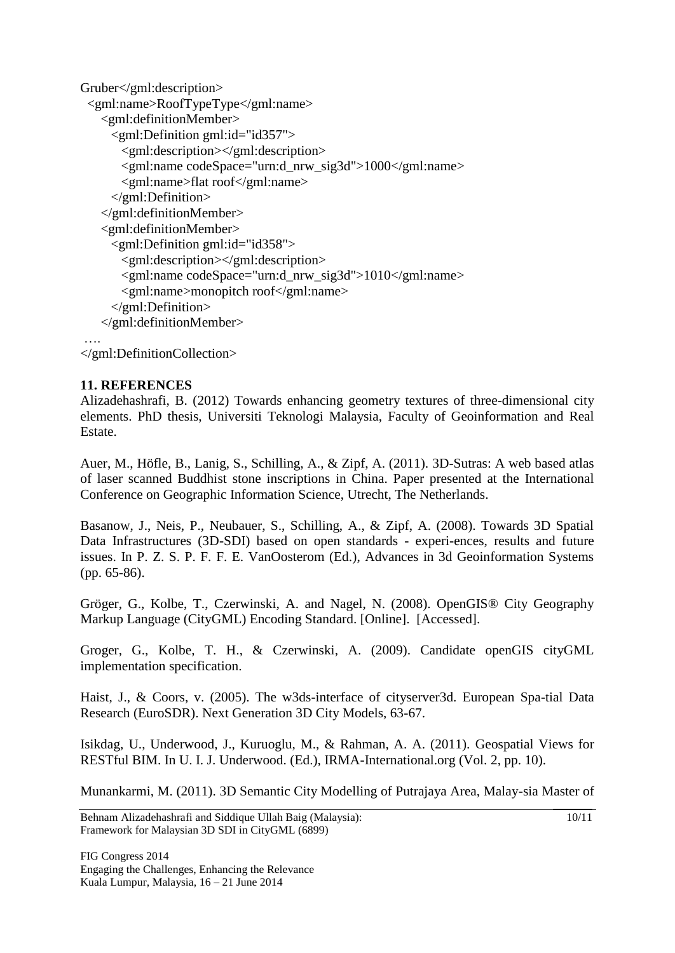```
Gruber</gml:description>
  <gml:name>RoofTypeType</gml:name>
    <gml:definitionMember>
      <gml:Definition gml:id="id357">
        <gml:description></gml:description>
        <gml:name codeSpace="urn:d_nrw_sig3d">1000</gml:name>
        <gml:name>flat roof</gml:name>
      </gml:Definition>
    </gml:definitionMember>
    <gml:definitionMember>
      <gml:Definition gml:id="id358">
        <gml:description></gml:description>
        <gml:name codeSpace="urn:d_nrw_sig3d">1010</gml:name>
        <gml:name>monopitch roof</gml:name>
      </gml:Definition>
    </gml:definitionMember>
….
```
</gml:DefinitionCollection>

#### **11. REFERENCES**

Alizadehashrafi, B. (2012) Towards enhancing geometry textures of three-dimensional city elements. PhD thesis, Universiti Teknologi Malaysia, Faculty of Geoinformation and Real Estate.

Auer, M., Höfle, B., Lanig, S., Schilling, A., & Zipf, A. (2011). 3D-Sutras: A web based atlas of laser scanned Buddhist stone inscriptions in China. Paper presented at the International Conference on Geographic Information Science, Utrecht, The Netherlands.

Basanow, J., Neis, P., Neubauer, S., Schilling, A., & Zipf, A. (2008). Towards 3D Spatial Data Infrastructures (3D-SDI) based on open standards - experi-ences, results and future issues. In P. Z. S. P. F. F. E. VanOosterom (Ed.), Advances in 3d Geoinformation Systems (pp. 65-86).

Gröger, G., Kolbe, T., Czerwinski, A. and Nagel, N. (2008). OpenGIS® City Geography Markup Language (CityGML) Encoding Standard. [Online]. [Accessed].

Groger, G., Kolbe, T. H., & Czerwinski, A. (2009). Candidate openGIS cityGML implementation specification.

Haist, J., & Coors, v. (2005). The w3ds-interface of cityserver3d. European Spa-tial Data Research (EuroSDR). Next Generation 3D City Models, 63-67.

Isikdag, U., Underwood, J., Kuruoglu, M., & Rahman, A. A. (2011). Geospatial Views for RESTful BIM. In U. I. J. Underwood. (Ed.), IRMA-International.org (Vol. 2, pp. 10).

Munankarmi, M. (2011). 3D Semantic City Modelling of Putrajaya Area, Malay-sia Master of

```
Behnam Alizadehashrafi and Siddique Ullah Baig (Malaysia): 
Framework for Malaysian 3D SDI in CityGML (6899)
```